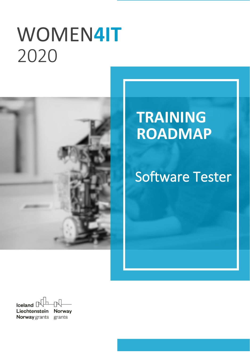# WOMEN**4IT** `2020



# **TRAINING ROADMAP**

# Software Tester

Iceland  $\Box$ Liechtenstein **Norway Norway** grants grants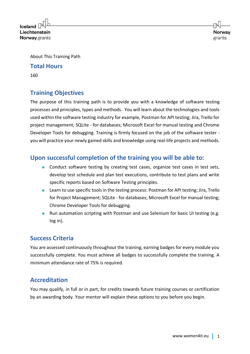$l$ celand Liechtenstein **Norway** grants

About This Training Path

#### **Total Hours**

160

# **Training Objectives**

The purpose of this training path is to provide you with a knowledge of software testing processes and principles, types and methods. You will learn about the technologies and tools used within the software testing industry for example, Postman for API testing; Jira, Trello for project management; SQLite - for databases; Microsoft Excel for manual testing and Chrome Developer Tools for debugging. Training is firmly focused on the job of the software tester you will practice your newly gained skills and knowledge using real-life projects and methods.

### **Upon successful completion of the training you will be able to:**

- Conduct software testing by creating test cases, organize test cases in test sets, develop test schedule and plan test executions, contribute to test plans and write specific reports based on Software Testing principles.
- Learn to use specific tools in the testing process: Postman for API testing; Jira, Trello for Project Management; SQLite - for databases; Microsoft Excel for manual testing; Chrome Developer Tools for debugging.
- Run automation scripting with Postman and use Selenium for basic UI testing (e.g. log in).

### **Success Criteria**

You are assessed continuously throughout the training, earning badges for every module you successfully complete. You must achieve all badges to successfully complete the training. A minimum attendance rate of 75% is required.

## **Accreditation**

You may qualify, in full or in part, for credits towards future training courses or certification by an awarding body. Your mentor will explain these options to you before you begin.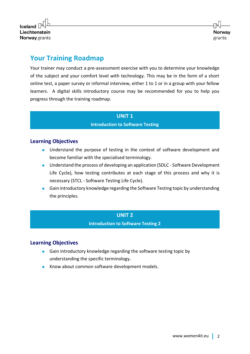

# **Your Training Roadmap**

Your trainer may conduct a pre-assessment exercise with you to determine your knowledge of the subject and your comfort level with technology. This may be in the form of a short online test, a paper survey or informal interview, either 1 to 1 or in a group with your fellow learners. A digital skills introductory course may be recommended for you to help you progress through the training roadmap.

#### **UNIT 1**

#### **Introduction to Software Testing**

#### **Learning Objectives**

- Understand the purpose of testing in the context of software development and become familiar with the specialised terminology.
- Understand the process of developing an application (SDLC Software Development Life Cycle), how testing contributes at each stage of this process and why it is necessary (STCL - Software Testing Life Cycle).
- Gain introductory knowledge regarding the Software Testing topic by understanding the principles.

#### **UNIT 2**

**Introduction to Software Testing 2**

#### **Learning Objectives**

- Gain introductory knowledge regarding the software testing topic by understanding the specific terminology.
- Know about common software development models.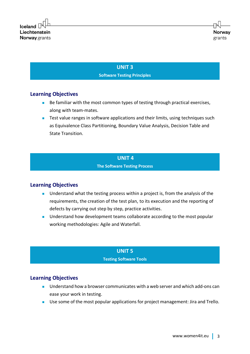#### **UNIT 3 Software Testing Principles**

#### **Learning Objectives**

- Be familiar with the most common types of testing through practical exercises, along with team-mates.
- Test value ranges in software applications and their limits, using techniques such as Equivalence Class Partitioning, Boundary Value Analysis, Decision Table and State Transition.

#### **UNIT 4**

#### **The Software Testing Process**

#### **Learning Objectives**

- Understand what the testing process within a project is, from the analysis of the requirements, the creation of the test plan, to its execution and the reporting of defects by carrying out step by step, practice activities.
- Understand how development teams collaborate according to the most popular working methodologies: Agile and Waterfall.

#### **UNIT 5 Testing Software Tools**

#### **Learning Objectives**

- Understand how a browser communicates with a web server and which add-ons can ease your work in testing.
- Use some of the most popular applications for project management: Jira and Trello.